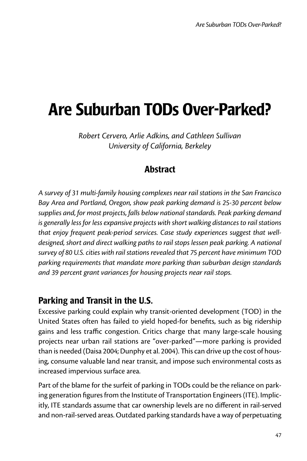# Are Suburban TODs Over-Parked?

*Robert Cervero, Arlie Adkins, and Cathleen Sullivan University of California, Berkeley*

# **Abstract**

*A survey of 31 multi-family housing complexes near rail stations in the San Francisco Bay Area and Portland, Oregon, show peak parking demand is 25-30 percent below supplies and, for most projects, falls below national standards. Peak parking demand is generally less for less expansive projects with short walking distances to rail stations that enjoy frequent peak-period services. Case study experiences suggest that well*designed, short and direct walking paths to rail stops lessen peak parking. A national *survey of 80 U.S. cities with rail stations revealed that 75 percent have minimum TOD parking requirements that mandate more parking than suburban design standards and 39 percent grant variances for housing projects near rail stops.*

# Parking and Transit in the U.S.

Excessive parking could explain why transit-oriented development (TOD) in the United States often has failed to yield hoped-for benefits, such as big ridership gains and less traffic congestion. Critics charge that many large-scale housing projects near urban rail stations are "over-parked"—more parking is provided than is needed (Daisa 2004; Dunphy et al. 2004). This can drive up the cost of housing, consume valuable land near transit, and impose such environmental costs as increased impervious surface area.

Part of the blame for the surfeit of parking in TODs could be the reliance on parking generation figures from the Institute of Transportation Engineers (ITE). Implicitly, ITE standards assume that car ownership levels are no different in rail-served and non-rail-served areas. Outdated parking standards have a way of perpetuating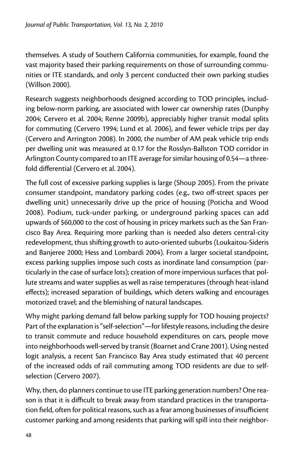themselves. A study of Southern California communities, for example, found the vast majority based their parking requirements on those of surrounding communities or ITE standards, and only 3 percent conducted their own parking studies (Willson 2000).

Research suggests neighborhoods designed according to TOD principles, including below-norm parking, are associated with lower car ownership rates (Dunphy 2004; Cervero et al. 2004; Renne 2009b), appreciably higher transit modal splits for commuting (Cervero 1994; Lund et al. 2006), and fewer vehicle trips per day (Cervero and Arrington 2008). In 2000, the number of AM peak vehicle trip ends per dwelling unit was measured at 0.17 for the Rosslyn-Ballston TOD corridor in Arlington County compared to an ITE average for similar housing of 0.54—a threefold differential (Cervero et al. 2004).

The full cost of excessive parking supplies is large (Shoup 2005). From the private consumer standpoint, mandatory parking codes (e.g., two off-street spaces per dwelling unit) unnecessarily drive up the price of housing (Poticha and Wood 2008). Podium, tuck-under parking, or underground parking spaces can add upwards of \$60,000 to the cost of housing in pricey markets such as the San Francisco Bay Area. Requiring more parking than is needed also deters central-city redevelopment, thus shifting growth to auto-oriented suburbs (Loukaitou-Sideris and Banjeree 2000; Hess and Lombardi 2004). From a larger societal standpoint, excess parking supplies impose such costs as inordinate land consumption (particularly in the case of surface lots); creation of more impervious surfaces that pollute streams and water supplies as well as raise temperatures (through heat-island effects); increased separation of buildings, which deters walking and encourages motorized travel; and the blemishing of natural landscapes.

Why might parking demand fall below parking supply for TOD housing projects? Part of the explanation is "self-selection"—for lifestyle reasons, including the desire to transit commute and reduce household expenditures on cars, people move into neighborhoods well-served by transit (Boarnet and Crane 2001). Using nested logit analysis, a recent San Francisco Bay Area study estimated that 40 percent of the increased odds of rail commuting among TOD residents are due to selfselection (Cervero 2007).

Why, then, do planners continue to use ITE parking generation numbers? One reason is that it is difficult to break away from standard practices in the transportation field, often for political reasons, such as a fear among businesses of insufficient customer parking and among residents that parking will spill into their neighbor-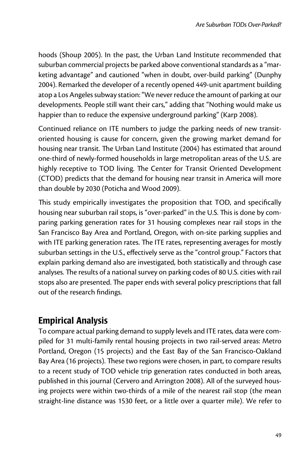hoods (Shoup 2005). In the past, the Urban Land Institute recommended that suburban commercial projects be parked above conventional standards as a "marketing advantage" and cautioned "when in doubt, over-build parking" (Dunphy 2004). Remarked the developer of a recently opened 449-unit apartment building atop a Los Angeles subway station: "We never reduce the amount of parking at our developments. People still want their cars," adding that "Nothing would make us happier than to reduce the expensive underground parking" (Karp 2008).

Continued reliance on ITE numbers to judge the parking needs of new transitoriented housing is cause for concern, given the growing market demand for housing near transit. The Urban Land Institute (2004) has estimated that around one-third of newly-formed households in large metropolitan areas of the U.S. are highly receptive to TOD living. The Center for Transit Oriented Development (CTOD) predicts that the demand for housing near transit in America will more than double by 2030 (Poticha and Wood 2009).

This study empirically investigates the proposition that TOD, and specifically housing near suburban rail stops, is "over-parked" in the U.S. This is done by comparing parking generation rates for 31 housing complexes near rail stops in the San Francisco Bay Area and Portland, Oregon, with on-site parking supplies and with ITE parking generation rates. The ITE rates, representing averages for mostly suburban settings in the U.S., effectively serve as the "control group." Factors that explain parking demand also are investigated, both statistically and through case analyses. The results of a national survey on parking codes of 80 U.S. cities with rail stops also are presented. The paper ends with several policy prescriptions that fall out of the research findings.

# Empirical Analysis

To compare actual parking demand to supply levels and ITE rates, data were compiled for 31 multi-family rental housing projects in two rail-served areas: Metro Portland, Oregon (15 projects) and the East Bay of the San Francisco-Oakland Bay Area (16 projects). These two regions were chosen, in part, to compare results to a recent study of TOD vehicle trip generation rates conducted in both areas, published in this journal (Cervero and Arrington 2008). All of the surveyed housing projects were within two-thirds of a mile of the nearest rail stop (the mean straight-line distance was 1530 feet, or a little over a quarter mile). We refer to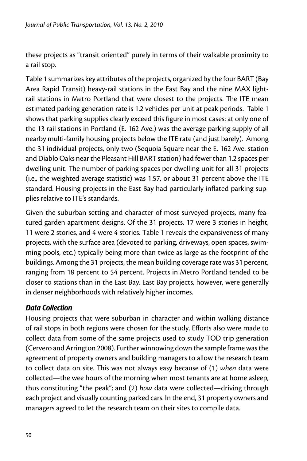these projects as "transit oriented" purely in terms of their walkable proximity to a rail stop.

Table 1 summarizes key attributes of the projects, organized by the four BART (Bay Area Rapid Transit) heavy-rail stations in the East Bay and the nine MAX lightrail stations in Metro Portland that were closest to the projects. The ITE mean estimated parking generation rate is 1.2 vehicles per unit at peak periods. Table 1 shows that parking supplies clearly exceed this figure in most cases: at only one of the 13 rail stations in Portland (E. 162 Ave.) was the average parking supply of all nearby multi-family housing projects below the ITE rate (and just barely). Among the 31 individual projects, only two (Sequoia Square near the E. 162 Ave. station and Diablo Oaks near the Pleasant Hill BART station) had fewer than 1.2 spaces per dwelling unit. The number of parking spaces per dwelling unit for all 31 projects (i.e., the weighted average statistic) was 1.57, or about 31 percent above the ITE standard. Housing projects in the East Bay had particularly inflated parking supplies relative to ITE's standards.

Given the suburban setting and character of most surveyed projects, many featured garden apartment designs. Of the 31 projects, 17 were 3 stories in height, 11 were 2 stories, and 4 were 4 stories. Table 1 reveals the expansiveness of many projects, with the surface area (devoted to parking, driveways, open spaces, swimming pools, etc.) typically being more than twice as large as the footprint of the buildings. Among the 31 projects, the mean building coverage rate was 31 percent, ranging from 18 percent to 54 percent. Projects in Metro Portland tended to be closer to stations than in the East Bay. East Bay projects, however, were generally in denser neighborhoods with relatively higher incomes.

## *Data Collection*

Housing projects that were suburban in character and within walking distance of rail stops in both regions were chosen for the study. Efforts also were made to collect data from some of the same projects used to study TOD trip generation (Cervero and Arrington 2008). Further winnowing down the sample frame was the agreement of property owners and building managers to allow the research team to collect data on site. This was not always easy because of (1) *when* data were collected—the wee hours of the morning when most tenants are at home asleep, thus constituting "the peak"; and (2) *how* data were collected—driving through each project and visually counting parked cars. In the end, 31 property owners and managers agreed to let the research team on their sites to compile data.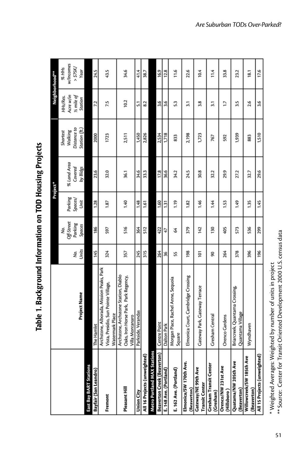| ١           |
|-------------|
| נ<br>;<br>( |
| ļ<br>i      |
|             |
| ١           |
|             |

|                                              |                                                    |       |            |             | Project*    |               |                  | Neighborhood** |
|----------------------------------------------|----------------------------------------------------|-------|------------|-------------|-------------|---------------|------------------|----------------|
|                                              |                                                    |       | Š,         |             |             | Shortest      | HHs/Res.         | % HHs          |
|                                              |                                                    |       | Off-Street | Parking     | % Land Area | Walking       | Acre w/in        | w/Incomes      |
|                                              |                                                    | δ,    | Parking    | Spaces/     | Covered     | Distance to   | ½ mile of        | $>$ \$75K/     |
|                                              | <b>Project Name</b>                                | Units | Spaces     | Unit        | by Bldgs    | Station (ft.) | Station          | Year           |
| East Bay BART Stations                       |                                                    |       |            |             |             |               |                  |                |
| Bayfair (San Leandro)                        | The Hamlet                                         | 145   | 186        | 1.28        | 23.6        | 2000          | 7.2              | 24.5           |
|                                              | Archstone, Alborada, Mission Peaks, Park           |       |            |             |             |               |                  |                |
| Fremont                                      | Vista, Presidio, Sun Pointe Village,               | 324   | 597        | 1.87        | 32.0        | 1723          | 7.5              | 43.5           |
|                                              | Watermark Place                                    |       |            |             |             |               |                  |                |
|                                              | Archstone, Archstone Station, Diablo               |       |            |             |             |               |                  |                |
| Pleasant Hill                                | Oaks, Iron Horse Park, Park Regency,               | 357   | <b>S16</b> | 1.40        | 36.1        | 2,511         | 10.2             | 34.6           |
|                                              | Villa Montanaro                                    |       |            |             |             |               |                  |                |
| <b>Union City</b>                            | Parkside, Verandas                                 | 245   | 364        | 1.48        | 34.6        | 1,450         | 5.1              | 41.4           |
| All 16 Projects (unweighted)                 |                                                    | 315   | 512        | 1.61        | 33.3        | 2,826         | 8.2              | 38.7           |
| Metro Portland MAX Stations                  |                                                    |       |            |             |             |               |                  |                |
| <b>Beaverton Creek (Beaverton)</b>           | Centre Point                                       | 264   | 422        | 1.60        | 17.8        | 2,534         | 3.6              | 16.9           |
| E. 148 Ave. (Portland)                       | Dalton Park                                        | 36    | 47         | 1.31        | 36.6        | 1,718         | 3.6              | 12.8           |
| E. 162 Ave. (Portland)                       | Morgan Place, Rachel Anne, Sequoia<br>Square       | 55    | 3          | <b>CL'1</b> | 34.2        | 833           | 5.3              | 11.6           |
| Elmonica/SW 170th Ave.<br>(Beaverton)        | Elmonica Court, Cambridge Crossing                 | 198   | 379        | 1.82        | 24.5        | 2,198         | $\overline{3}$ . | 22.6           |
| Gateway/NE 99th Ave<br><b>Transit Center</b> | Gateway Park, Gateway Terrace                      | 101   | 142        | 1.46        | 30.8        | 1,723         | 3.8              | 10.4           |
| Gresham Transit Center<br>(Gresham)          | Gresham Central                                    | 8     | 130        | 1.44        | 32.2        | 767           | 3.1              | 11.4           |
| Orenco/NW 231st Ave<br>(Hillsboro)           | <b>Orenco Gardens</b>                              | 264   | 405        | 1.53        | 29.9        | 592           | 1.7              | 33.8           |
| Quatama/NW 205th Ave<br>(Beaverton)          | Briarcreek, Quantama Crossing,<br>Quantama Village | 378   | 573        | 1.49        | 27.2        | 1,939         | 3.5              | 23.2           |
| Willowcreek/SW 185th Ave<br>(Beaverton)      | Wyndhaven                                          | 396   | 536        | 1.35        | 32.7        | 883           | 2.6              | 18.1           |
| All 15 Projects (unweighted)                 |                                                    | 196   | 299        | 1.45        | 29.6        | 1,510         | 3.6              | 17.6           |
|                                              |                                                    |       |            |             |             |               |                  |                |

<sup>\*</sup> Weighted Averages: Weighted by number of units in project<br>\*\* Source: Center for Transit Oriented Development 2000 U.S. census data \*\* Source: Center for Transit Oriented Development 2000 U.S. census data\* Weighted Averages: Weighted by number of units in project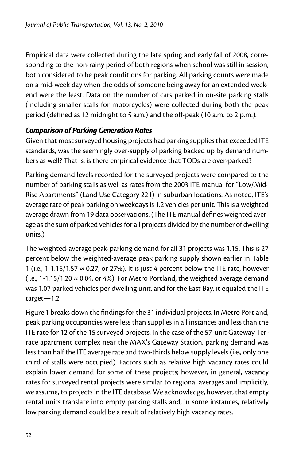Empirical data were collected during the late spring and early fall of 2008, corresponding to the non-rainy period of both regions when school was still in session, both considered to be peak conditions for parking. All parking counts were made on a mid-week day when the odds of someone being away for an extended weekend were the least. Data on the number of cars parked in on-site parking stalls (including smaller stalls for motorcycles) were collected during both the peak period (defined as 12 midnight to 5 a.m.) and the off-peak (10 a.m. to 2 p.m.).

## *Comparison of Parking Generation Rates*

Given that most surveyed housing projects had parking supplies that exceeded ITE standards, was the seemingly over-supply of parking backed up by demand numbers as well? That is, is there empirical evidence that TODs are over-parked?

Parking demand levels recorded for the surveyed projects were compared to the number of parking stalls as well as rates from the 2003 ITE manual for "Low/Mid-Rise Apartments" (Land Use Category 221) in suburban locations. As noted, ITE's average rate of peak parking on weekdays is 1.2 vehicles per unit. This is a weighted average drawn from 19 data observations. (The ITE manual defines weighted average as the sum of parked vehicles for all projects divided by the number of dwelling units.)

The weighted-average peak-parking demand for all 31 projects was 1.15. This is 27 percent below the weighted-average peak parking supply shown earlier in Table 1 (i.e., 1-1.15/1.57  $\approx$  0.27, or 27%). It is just 4 percent below the ITE rate, however (i.e., 1-1.15/1.20  $\approx$  0.04, or 4%). For Metro Portland, the weighted average demand was 1.07 parked vehicles per dwelling unit, and for the East Bay, it equaled the ITE target—1.2.

Figure 1 breaks down the findings for the 31 individual projects. In Metro Portland, peak parking occupancies were less than supplies in all instances and less than the ITE rate for 12 of the 15 surveyed projects. In the case of the 57-unit Gateway Terrace apartment complex near the MAX's Gateway Station, parking demand was less than half the ITE average rate and two-thirds below supply levels (i.e., only one third of stalls were occupied). Factors such as relative high vacancy rates could explain lower demand for some of these projects; however, in general, vacancy rates for surveyed rental projects were similar to regional averages and implicitly, we assume, to projects in the ITE database. We acknowledge, however, that empty rental units translate into empty parking stalls and, in some instances, relatively low parking demand could be a result of relatively high vacancy rates.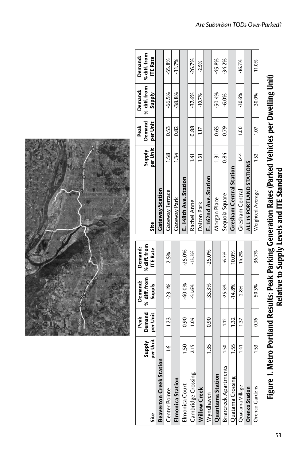|                                |                           | Peak               | Demand:                      | Demand:                         |                                |                           | Peak               | Demand:                       | Demand:                         |
|--------------------------------|---------------------------|--------------------|------------------------------|---------------------------------|--------------------------------|---------------------------|--------------------|-------------------------------|---------------------------------|
| Site                           | <b>Supply</b><br>per Unit | Demand<br>per Unit | % diff. from<br><b>Addns</b> | % diff. from<br><b>ITE Rate</b> | Site                           | per Unit<br><b>Supply</b> | Demand<br>per Unit | % diff. from<br><b>Supply</b> | % diff. from<br><b>ITE Rate</b> |
| <b>Beaverton Creek Station</b> | 등                         |                    |                              |                                 | Gateway Station                |                           |                    |                               |                                 |
| <b>Center Pointe</b>           | $\frac{6}{1}$             | 1.23               | $-23.1%$                     | 2.5%                            | <b>Gateway Terrace</b>         | 1.58                      | 0.53               | $-66.5%$                      | $-55.8%$                        |
| <b>Elmonica Station</b>        |                           |                    |                              |                                 | Gateway Park                   | 134                       | 0.82               | $-38.8%$                      | $-31.7%$                        |
| Imonica Court                  | 1.50                      | 0.90               | $-40.0%$                     | $-25.0%$                        | E. 148th Ave. Station          |                           |                    |                               |                                 |
| Cambridge Crossing             | 2.15                      | 1.04               | $-51.6%$                     | $-13.3%$                        | Rachel Anne                    | 141                       | 0.88               | -37.6%                        | $-26.7%$                        |
| <b>Villow Creek</b>            |                           |                    |                              |                                 | Dalton Park                    | 131                       | 1.17               | $-10.7\%$                     | $-2.5%$                         |
| Wyndhaven                      | 135                       | $\frac{6}{3}$      | $-33.3%$                     | $-25.0%$                        | E. 162nd Ave. Station          |                           |                    |                               |                                 |
| Quantama Station               |                           |                    |                              |                                 | Morgan Place                   | 131                       | 0.65               | -50.4%                        | $-45.8%$                        |
| Briarcreek Apartments          | $\frac{50}{2}$            | 112                | $-25.3%$                     | $-6.7%$                         | Sequoia Square                 | 0.84                      | 0.79               | $-6.0\%$                      | -34.2%                          |
| Juatama Crossing               | 1.55                      | 132                | $-14.8%$                     | 10.0%                           | <b>Gresham Central Station</b> |                           |                    |                               |                                 |
| Quatama Village                | 14<br>1                   | 137                | $-2.8%$                      | 14.2%                           | Gresham Central                | 144                       | $\frac{8}{10}$     | $-30.6%$                      | $-16.7%$                        |
| <b>Orenco Station</b>          |                           |                    |                              |                                 | ALL 15 PORTLAND STATIONS       |                           |                    |                               |                                 |
| <b>Drenco Gardens</b>          | 1.53                      | 0.76               | $-50.3%$                     | $-36.7%$                        | Weighted Average               | 1.52                      | 1.07               | $-30.0\%$                     | $-11.0\%$                       |
|                                |                           |                    |                              |                                 |                                |                           |                    |                               |                                 |

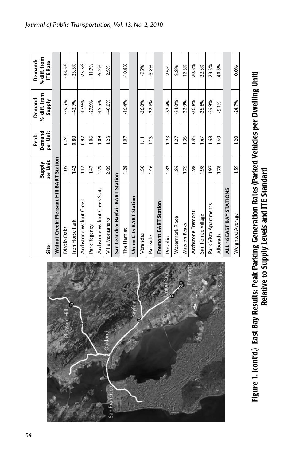| Site                                     | per Unit<br><b>Supply</b> | Demand<br>per Unit<br>Peak | % diff. from<br>Demand:<br>Supply | % diff. from<br>Demand:<br><b>ITE Rate</b> |
|------------------------------------------|---------------------------|----------------------------|-----------------------------------|--------------------------------------------|
| Walnut Creek: Pleasant Hill BART Station |                           |                            |                                   |                                            |
| Diablo Oaks                              | 105                       | 0.74                       | $-29.5%$                          | -38.3%                                     |
| Iron Horse Park                          | 142                       | 0.80                       | $-43.7%$                          | 33.3%                                      |
| Archstone Walnut Creek                   | $\frac{12}{1}$            | 0.92                       | $-17.9%$                          | 23.3%                                      |
| Park Regency                             | 1.47                      | 1.06                       | $-27.9%$                          | $-11.7%$                                   |
| Archstone Walnut Creek Stat.             | 1.29                      | 1.09                       | $-15.5%$                          | $-9.2%$                                    |
| Villa Montanaro                          | 2.05                      | 1.23                       | $-40.0\%$                         | 2.5%                                       |
| San Leandro: Bayfair BART Station        |                           |                            |                                   |                                            |
| The Hamlet                               | 1.28                      | $-10$                      | $-16.4%$                          | $-10.8%$                                   |
| Union City BART Station                  |                           |                            |                                   |                                            |
| Verandas                                 | 1.50                      | Ξ                          | $-26.0%$                          | $-7.5%$                                    |
| Parkside                                 | 971                       | 1.13                       | $-22.6%$                          | -5.8%                                      |
| <b>Fremont BART Station</b>              |                           |                            |                                   |                                            |
| Presidio                                 | 1.82                      | 1.23                       | $-32.4%$                          | 2.5%                                       |
| Watermark Place                          | 1.84                      | 1.27                       | $-31.0%$                          | 5.8%                                       |
| Mission Peaks                            | 1.75                      | 1.35                       | $-22.9%$                          | 12.5%                                      |
| Archstone Fremont                        | 1.98                      | 1.45                       | $-26.8%$                          | 20.8%                                      |
| Sun Pointe Village                       | 1.98                      | 1.47                       | $-25.8%$                          | 22.5%                                      |
| Park Vista Apartments                    | 1.97                      | 1.48                       | $-24.9%$                          | 23.3%                                      |
| Alborada                                 | 1.78                      | $\frac{69}{1}$             | -5.1%                             | 40.8%                                      |
| ALL 16 EAST BAY STATIONS                 |                           |                            |                                   |                                            |
| Weighted Average                         | 1.59                      | 1.20                       | $-24.7%$                          | 0.0%                                       |



Figure 1. (cont'd.) East Bay Results: Peak Parking Generation Rates (Parked Vehicles per Dwelling Unit)<br>Relative to Supply Levels and ITE Standard Figure 1. (cont'd.) East Bay Results: Peak Parking Generation Rates (Parked Vehicles per Dwelling Unit) Relative to Supply Levels and ITE Standard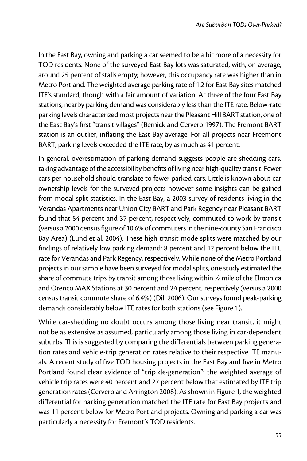In the East Bay, owning and parking a car seemed to be a bit more of a necessity for TOD residents. None of the surveyed East Bay lots was saturated, with, on average, around 25 percent of stalls empty; however, this occupancy rate was higher than in Metro Portland. The weighted average parking rate of 1.2 for East Bay sites matched ITE's standard, though with a fair amount of variation. At three of the four East Bay stations, nearby parking demand was considerably less than the ITE rate. Below-rate parking levels characterized most projects near the Pleasant Hill BART station, one of the East Bay's first "transit villages" (Bernick and Cervero 1997). The Fremont BART station is an outlier, inflating the East Bay average. For all projects near Freemont BART, parking levels exceeded the ITE rate, by as much as 41 percent.

In general, overestimation of parking demand suggests people are shedding cars, taking advantage of the accessibility benefits of living near high-quality transit. Fewer cars per household should translate to fewer parked cars. Little is known about car ownership levels for the surveyed projects however some insights can be gained from modal split statistics. In the East Bay, a 2003 survey of residents living in the Verandas Apartments near Union City BART and Park Regency near Pleasant BART found that 54 percent and 37 percent, respectively, commuted to work by transit (versus a 2000 census figure of 10.6%of commutersin the nine-county San Francisco Bay Area) (Lund et al. 2004). These high transit mode splits were matched by our findings of relatively low parking demand: 8 percent and 12 percent below the ITE rate for Verandas and Park Regency, respectively. While none of the Metro Portland projects in our sample have been surveyed for modal splits, one study estimated the share of commute trips by transit among those living within  $\frac{1}{2}$  mile of the Elmonica and Orenco MAX Stations at 30 percent and 24 percent, respectively (versus a 2000 census transit commute share of 6.4%) (Dill 2006). Our surveys found peak-parking demands considerably below ITE rates for both stations (see Figure 1).

While car-shedding no doubt occurs among those living near transit, it might not be as extensive as assumed, particularly among those living in car-dependent suburbs. This is suggested by comparing the differentials between parking generation rates and vehicle-trip generation rates relative to their respective ITE manuals. A recent study of five TOD housing projects in the East Bay and five in Metro Portland found clear evidence of "trip de-generation": the weighted average of vehicle trip rates were 40 percent and 27 percent below that estimated by ITE trip generation rates (Cervero and Arrington 2008). As shown in Figure 1, the weighted differential for parking generation matched the ITE rate for East Bay projects and was 11 percent below for Metro Portland projects. Owning and parking a car was particularly a necessity for Fremont's TOD residents.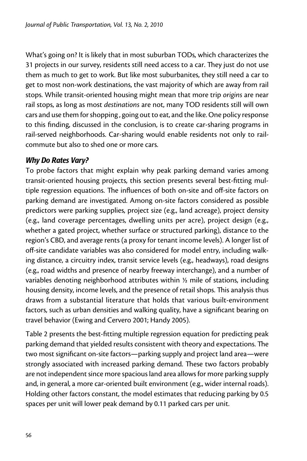What's going on? It is likely that in most suburban TODs, which characterizes the 31 projects in our survey, residents still need access to a car. They just do not use them as much to get to work. But like most suburbanites, they still need a car to get to most non-work destinations, the vast majority of which are away from rail stops. While transit-oriented housing might mean that more trip *origins* are near rail stops, as long as most *destinations* are not, many TOD residents still will own cars and use them for shopping , going out to eat, and the like. One policy response to this finding, discussed in the conclusion, is to create car-sharing programs in rail-served neighborhoods. Car-sharing would enable residents not only to railcommute but also to shed one or more cars.

# *Why Do Rates Vary?*

To probe factors that might explain why peak parking demand varies among transit-oriented housing projects, this section presents several best-fitting multiple regression equations. The influences of both on-site and off-site factors on parking demand are investigated. Among on-site factors considered as possible predictors were parking supplies, project size (e.g., land acreage), project density (e.g., land coverage percentages, dwelling units per acre), project design (e.g., whether a gated project, whether surface or structured parking), distance to the region's CBD, and average rents (a proxy for tenant income levels). A longer list of off-site candidate variables was also considered for model entry, including walking distance, a circuitry index, transit service levels (e.g., headways), road designs (e.g., road widths and presence of nearby freeway interchange), and a number of variables denoting neighborhood attributes within ½ mile of stations, including housing density, income levels, and the presence of retail shops. This analysis thus draws from a substantial literature that holds that various built-environment factors, such as urban densities and walking quality, have a significant bearing on travel behavior (Ewing and Cervero 2001; Handy 2005).

Table 2 presents the best-fitting multiple regression equation for predicting peak parking demand that yielded results consistent with theory and expectations. The two most significant on-site factors—parking supply and project land area—were strongly associated with increased parking demand. These two factors probably are not independent since more spacious land area allows for more parking supply and, in general, a more car-oriented built environment (e.g., wider internal roads). Holding other factors constant, the model estimates that reducing parking by 0.5 spaces per unit will lower peak demand by 0.11 parked cars per unit.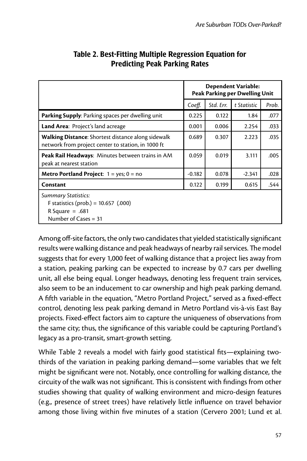|                                                                                                                 | Dependent Variable:<br>Peak Parking per Dwelling Unit |           |             |       |  |
|-----------------------------------------------------------------------------------------------------------------|-------------------------------------------------------|-----------|-------------|-------|--|
|                                                                                                                 | Coeff.                                                | Std. Err. | t Statistic | Prob. |  |
| <b>Parking Supply:</b> Parking spaces per dwelling unit                                                         | 0.225                                                 | 0.122     | 1.84        | .077  |  |
| <b>Land Area: Project's land acreage</b>                                                                        | 0.001                                                 | 0.006     | 2.254       | .033  |  |
| <b>Walking Distance:</b> Shortest distance along sidewalk<br>network from project center to station, in 1000 ft | 0.689                                                 | 0.307     | 2.223       | .035  |  |
| Peak Rail Headways: Minutes between trains in AM<br>peak at nearest station                                     | 0.059                                                 | 0.019     | 3.111       | .005  |  |
| <b>Metro Portland Project:</b> $1 = yes$ ; $0 = no$                                                             | $-0.182$                                              | 0.078     | $-2.341$    | .028  |  |
| Constant                                                                                                        | 0.122                                                 | 0.199     | 0.615       | .544  |  |
| Summary Statistics:<br>F statistics (prob.) = $10.657$ (.000)<br>R Square $= .681$<br>Number of Cases = 31      |                                                       |           |             |       |  |

#### Table 2. Best-Fitting Multiple Regression Equation for Predicting Peak Parking Rates

Among off-site factors, the only two candidates that yielded statistically significant results were walking distance and peak headways of nearby rail services. The model suggests that for every 1,000 feet of walking distance that a project lies away from a station, peaking parking can be expected to increase by 0.7 cars per dwelling unit, all else being equal. Longer headways, denoting less frequent train services, also seem to be an inducement to car ownership and high peak parking demand. A fifth variable in the equation, "Metro Portland Project," served as a fixed-effect control, denoting less peak parking demand in Metro Portland vis-à-vis East Bay projects. Fixed-effect factors aim to capture the uniqueness of observations from the same city; thus, the significance of this variable could be capturing Portland's legacy as a pro-transit, smart-growth setting.

While Table 2 reveals a model with fairly good statistical fits—explaining twothirds of the variation in peaking parking demand—some variables that we felt might be significant were not. Notably, once controlling for walking distance, the circuity of the walk was not significant. This is consistent with findings from other studies showing that quality of walking environment and micro-design features (e.g., presence of street trees) have relatively little influence on travel behavior among those living within five minutes of a station (Cervero 2001; Lund et al.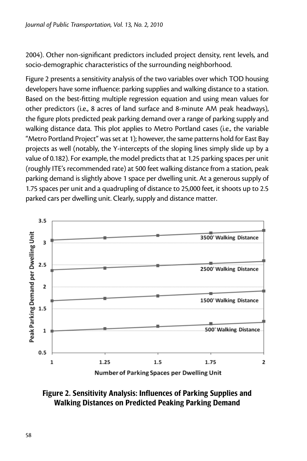2004). Other non-significant predictors included project density, rent levels, and socio-demographic characteristics of the surrounding neighborhood.

Figure 2 presents a sensitivity analysis of the two variables over which TOD housing developers have some influence: parking supplies and walking distance to a station. Based on the best-fitting multiple regression equation and using mean values for other predictors (i.e., 8 acres of land surface and 8-minute AM peak headways), the figure plots predicted peak parking demand over a range of parking supply and walking distance data. This plot applies to Metro Portland cases (i.e., the variable "Metro Portland Project" was set at 1); however, the same patterns hold for East Bay projects as well (notably, the Y-intercepts of the sloping lines simply slide up by a value of 0.182). For example, the model predicts that at 1.25 parking spaces per unit (roughly ITE's recommended rate) at 500 feet walking distance from a station, peak parking demand is slightly above 1 space per dwelling unit. At a generous supply of 1.75 spaces per unit and a quadrupling of distance to 25,000 feet, it shoots up to 2.5 parked cars per dwelling unit. Clearly, supply and distance matter.



Number of Parking Spaces per Dwelling Unit

## Figure 2. Sensitivity Analysis: Influences of Parking Supplies and Walking Distances on Predicted Peaking Parking Demand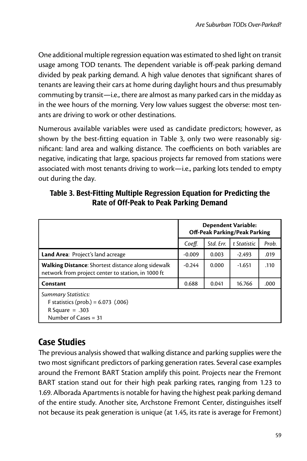One additional multiple regression equation was estimated to shed light on transit usage among TOD tenants. The dependent variable is off-peak parking demand divided by peak parking demand. A high value denotes that significant shares of tenants are leaving their cars at home during daylight hours and thus presumably commuting by transit—i.e., there are almost as many parked cars in the midday as in the wee hours of the morning. Very low values suggest the obverse: most tenants are driving to work or other destinations.

Numerous available variables were used as candidate predictors; however, as shown by the best-fitting equation in Table 3, only two were reasonably significant: land area and walking distance. The coefficients on both variables are negative, indicating that large, spacious projects far removed from stations were associated with most tenants driving to work—i.e., parking lots tended to empty out during the day.

|                                                                                                                    |          |           | <b>Dependent Variable:</b><br>Off-Peak Parking/Peak Parking |       |
|--------------------------------------------------------------------------------------------------------------------|----------|-----------|-------------------------------------------------------------|-------|
|                                                                                                                    | Coeff.   | Std. Err. | t Statistic                                                 | Prob. |
| Land Area: Project's land acreage                                                                                  | $-0.009$ | 0.003     | $-2.493$                                                    | .019  |
| <b>Walking Distance:</b> Shortest distance along sidewalk<br>network from project center to station, in 1000 ft    | $-0.244$ | 0.000     | -1.651                                                      | .110  |
| Constant                                                                                                           | 0.688    | 0.041     | 16.766                                                      | .000  |
| <b>Summary Statistics:</b><br>F statistics (prob.) = $6.073$ (.006)<br>R Square $= .303$<br>Number of Cases $=$ 31 |          |           |                                                             |       |

#### Table 3. Best-Fitting Multiple Regression Equation for Predicting the Rate of Off-Peak to Peak Parking Demand

# Case Studies

The previous analysis showed that walking distance and parking supplies were the two most significant predictors of parking generation rates. Several case examples around the Fremont BART Station amplify this point. Projects near the Fremont BART station stand out for their high peak parking rates, ranging from 1.23 to 1.69. Alborada Apartments is notable for having the highest peak parking demand of the entire study. Another site, Archstone Fremont Center, distinguishes itself not because its peak generation is unique (at 1.45, its rate is average for Fremont)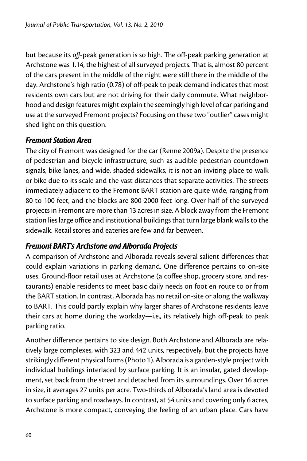but because its *off*-peak generation is so high. The off-peak parking generation at Archstone was 1.14, the highest of all surveyed projects. That is, almost 80 percent of the cars present in the middle of the night were still there in the middle of the day. Archstone's high ratio (0.78) of off-peak to peak demand indicates that most residents own cars but are not driving for their daily commute. What neighborhood and design features might explain the seemingly high level of car parking and use at the surveyed Fremont projects? Focusing on these two "outlier" cases might shed light on this question.

## *Fremont Station Area*

The city of Fremont was designed for the car (Renne 2009a). Despite the presence of pedestrian and bicycle infrastructure, such as audible pedestrian countdown signals, bike lanes, and wide, shaded sidewalks, it is not an inviting place to walk or bike due to its scale and the vast distances that separate activities. The streets immediately adjacent to the Fremont BART station are quite wide, ranging from 80 to 100 feet, and the blocks are 800-2000 feet long. Over half of the surveyed projects in Fremont are more than 13 acres in size. A block away from the Fremont station lies large office and institutional buildings that turn large blank walls to the sidewalk. Retail stores and eateries are few and far between.

# *Fremont BART's Archstone and Alborada Projects*

A comparison of Archstone and Alborada reveals several salient differences that could explain variations in parking demand. One difference pertains to on-site uses. Ground-floor retail uses at Archstone (a coffee shop, grocery store, and restaurants) enable residents to meet basic daily needs on foot en route to or from the BART station. In contrast, Alborada has no retail on-site or along the walkway to BART. This could partly explain why larger shares of Archstone residents leave their cars at home during the workday—i.e., its relatively high off-peak to peak parking ratio.

Another difference pertains to site design. Both Archstone and Alborada are relatively large complexes, with 323 and 442 units, respectively, but the projects have strikingly different physical forms (Photo 1). Alborada is a garden-style project with individual buildings interlaced by surface parking. It is an insular, gated development, set back from the street and detached from its surroundings. Over 16 acres in size, it averages 27 units per acre. Two-thirds of Alborada's land area is devoted to surface parking and roadways. In contrast, at 54 units and covering only 6 acres, Archstone is more compact, conveying the feeling of an urban place. Cars have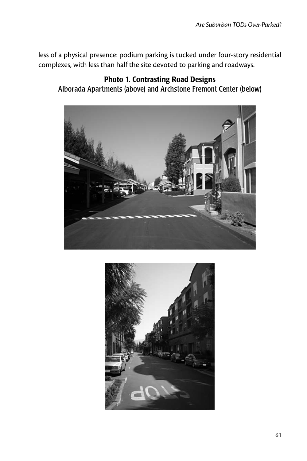less of a physical presence: podium parking is tucked under four-story residential complexes, with less than half the site devoted to parking and roadways.

#### Photo 1. Contrasting Road Designs Alborada Apartments (above) and Archstone Fremont Center (below)



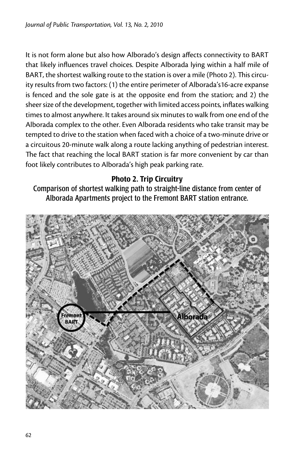It is not form alone but also how Alborado's design affects connectivity to BART that likely influences travel choices. Despite Alborada lying within a half mile of BART, the shortest walking route to the station is over a mile (Photo 2). This circuity results from two factors: (1) the entire perimeter of Alborada's16-acre expanse is fenced and the sole gate is at the opposite end from the station; and 2) the sheer size of the development, together with limited access points, inflates walking times to almost anywhere. It takes around six minutes to walk from one end of the Alborada complex to the other. Even Alborada residents who take transit may be tempted to drive to the station when faced with a choice of a two-minute drive or a circuitous 20-minute walk along a route lacking anything of pedestrian interest. The fact that reaching the local BART station is far more convenient by car than foot likely contributes to Alborada's high peak parking rate.

## Photo 2. Trip Circuitry

Comparison of shortest walking path to straight-line distance from center of Alborada Apartments project to the Fremont BART station entrance.

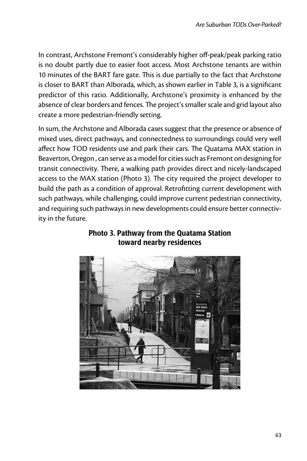In contrast, Archstone Fremont's considerably higher off-peak/peak parking ratio is no doubt partly due to easier foot access. Most Archstone tenants are within 10 minutes of the BART fare gate. This is due partially to the fact that Archstone is closer to BART than Alborada, which, as shown earlier in Table 3, is a significant predictor of this ratio. Additionally, Archstone's proximity is enhanced by the absence of clear borders and fences. The project's smaller scale and grid layout also create a more pedestrian-friendly setting.

In sum, the Archstone and Alborada cases suggest that the presence or absence of mixed uses, direct pathways, and connectedness to surroundings could very well affect how TOD residents use and park their cars. The Quatama MAX station in Beaverton, Oregon , can serve as a model for cities such as Fremont on designing for transit connectivity. There, a walking path provides direct and nicely-landscaped access to the MAX station (Photo 3). The city required the project developer to build the path as a condition of approval. Retrofitting current development with such pathways, while challenging, could improve current pedestrian connectivity, and requiring such pathways in new developments could ensure better connectivity in the future.



## Photo 3. Pathway from the Quatama Station toward nearby residences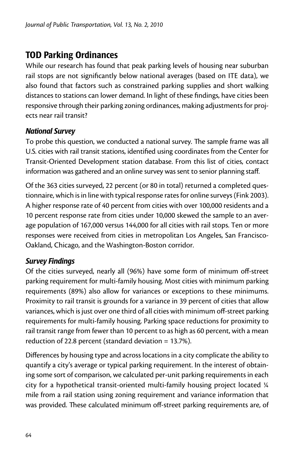# TOD Parking Ordinances

While our research has found that peak parking levels of housing near suburban rail stops are not significantly below national averages (based on ITE data), we also found that factors such as constrained parking supplies and short walking distances to stations can lower demand. In light of these findings, have cities been responsive through their parking zoning ordinances, making adjustments for projects near rail transit?

#### *National Survey*

To probe this question, we conducted a national survey. The sample frame was all U.S. cities with rail transit stations, identified using coordinates from the Center for Transit-Oriented Development station database. From this list of cities, contact information was gathered and an online survey was sent to senior planning staff.

Of the 363 cities surveyed, 22 percent (or 80 in total) returned a completed questionnaire, which is in line with typical response rates for online surveys (Fink 2003). A higher response rate of 40 percent from cities with over 100,000 residents and a 10 percent response rate from cities under 10,000 skewed the sample to an average population of 167,000 versus 144,000 for all cities with rail stops. Ten or more responses were received from cities in metropolitan Los Angeles, San Francisco-Oakland, Chicago, and the Washington-Boston corridor.

## *Survey Findings*

Of the cities surveyed, nearly all (96%) have some form of minimum off-street parking requirement for multi-family housing. Most cities with minimum parking requirements (89%) also allow for variances or exceptions to these minimums. Proximity to rail transit is grounds for a variance in 39 percent of cities that allow variances, which is just over one third of all cities with minimum off-street parking requirements for multi-family housing. Parking space reductions for proximity to rail transit range from fewer than 10 percent to as high as 60 percent, with a mean reduction of 22.8 percent (standard deviation = 13.7%).

Differences by housing type and across locations in a city complicate the ability to quantify a city's average or typical parking requirement. In the interest of obtaining some sort of comparison, we calculated per-unit parking requirements in each city for a hypothetical transit-oriented multi-family housing project located ¼ mile from a rail station using zoning requirement and variance information that was provided. These calculated minimum off-street parking requirements are, of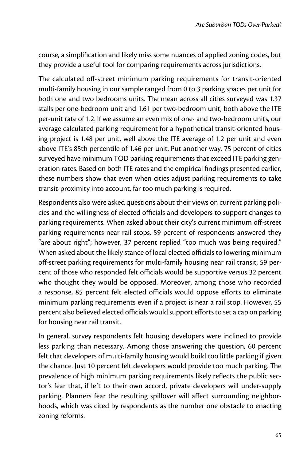course, a simplification and likely miss some nuances of applied zoning codes, but they provide a useful tool for comparing requirements across jurisdictions.

The calculated off-street minimum parking requirements for transit-oriented multi-family housing in our sample ranged from 0 to 3 parking spaces per unit for both one and two bedrooms units. The mean across all cities surveyed was 1.37 stalls per one-bedroom unit and 1.61 per two-bedroom unit, both above the ITE per-unit rate of 1.2. If we assume an even mix of one- and two-bedroom units, our average calculated parking requirement for a hypothetical transit-oriented housing project is 1.48 per unit, well above the ITE average of 1.2 per unit and even above ITE's 85th percentile of 1.46 per unit. Put another way, 75 percent of cities surveyed have minimum TOD parking requirements that exceed ITE parking generation rates. Based on both ITE rates and the empirical findings presented earlier, these numbers show that even when cities adjust parking requirements to take transit-proximity into account, far too much parking is required.

Respondents also were asked questions about their views on current parking policies and the willingness of elected officials and developers to support changes to parking requirements. When asked about their city's current minimum off-street parking requirements near rail stops, 59 percent of respondents answered they "are about right"; however, 37 percent replied "too much was being required." When asked about the likely stance of local elected officials to lowering minimum off-street parking requirements for multi-family housing near rail transit, 59 percent of those who responded felt officials would be supportive versus 32 percent who thought they would be opposed. Moreover, among those who recorded a response, 85 percent felt elected officials would oppose efforts to eliminate minimum parking requirements even if a project is near a rail stop. However, 55 percent also believed elected officials would support efforts to set a cap on parking for housing near rail transit.

In general, survey respondents felt housing developers were inclined to provide less parking than necessary. Among those answering the question, 60 percent felt that developers of multi-family housing would build too little parking if given the chance. Just 10 percent felt developers would provide too much parking. The prevalence of high minimum parking requirements likely reflects the public sector's fear that, if left to their own accord, private developers will under-supply parking. Planners fear the resulting spillover will affect surrounding neighborhoods, which was cited by respondents as the number one obstacle to enacting zoning reforms.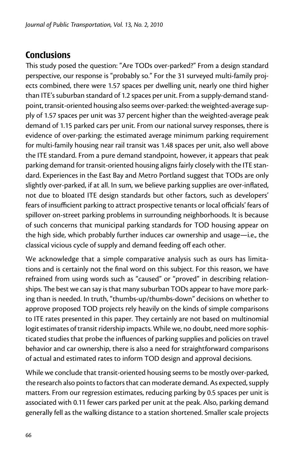# **Conclusions**

This study posed the question: "Are TODs over-parked?" From a design standard perspective, our response is "probably so." For the 31 surveyed multi-family projects combined, there were 1.57 spaces per dwelling unit, nearly one third higher than ITE's suburban standard of 1.2 spaces per unit. From a supply-demand standpoint, transit-oriented housing also seems over-parked: the weighted-average supply of 1.57 spaces per unit was 37 percent higher than the weighted-average peak demand of 1.15 parked cars per unit. From our national survey responses, there is evidence of over-parking: the estimated average minimum parking requirement for multi-family housing near rail transit was 1.48 spaces per unit, also well above the ITE standard. From a pure demand standpoint, however, it appears that peak parking demand for transit-oriented housing aligns fairly closely with the ITE standard. Experiences in the East Bay and Metro Portland suggest that TODs are only slightly over-parked, if at all. In sum, we believe parking supplies are over-inflated, not due to bloated ITE design standards but other factors, such as developers' fears of insufficient parking to attract prospective tenants or local officials' fears of spillover on-street parking problems in surrounding neighborhoods. It is because of such concerns that municipal parking standards for TOD housing appear on the high side, which probably further induces car ownership and usage—i.e., the classical vicious cycle of supply and demand feeding off each other.

We acknowledge that a simple comparative analysis such as ours has limitations and is certainly not the final word on this subject. For this reason, we have refrained from using words such as "caused" or "proved" in describing relationships. The best we can say is that many suburban TODs appear to have more parking than is needed. In truth, "thumbs-up/thumbs-down" decisions on whether to approve proposed TOD projects rely heavily on the kinds of simple comparisons to ITE rates presented in this paper. They certainly are not based on multinomial logit estimates of transit ridership impacts. While we, no doubt, need more sophisticated studies that probe the influences of parking supplies and policies on travel behavior and car ownership, there is also a need for straightforward comparisons of actual and estimated rates to inform TOD design and approval decisions.

While we conclude that transit-oriented housing seems to be mostly over-parked, the research also points to factors that can moderate demand. As expected, supply matters. From our regression estimates, reducing parking by 0.5 spaces per unit is associated with 0.11 fewer cars parked per unit at the peak. Also, parking demand generally fell as the walking distance to a station shortened. Smaller scale projects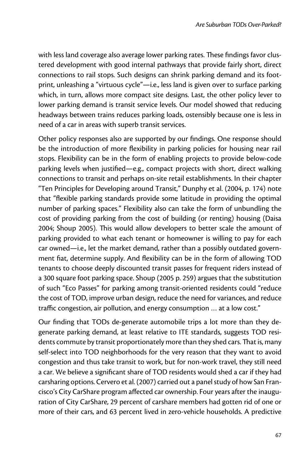with less land coverage also average lower parking rates. These findings favor clustered development with good internal pathways that provide fairly short, direct connections to rail stops. Such designs can shrink parking demand and its footprint, unleashing a "virtuous cycle"—i.e., less land is given over to surface parking which, in turn, allows more compact site designs. Last, the other policy lever to lower parking demand is transit service levels. Our model showed that reducing headways between trains reduces parking loads, ostensibly because one is less in need of a car in areas with superb transit services.

Other policy responses also are supported by our findings. One response should be the introduction of more flexibility in parking policies for housing near rail stops. Flexibility can be in the form of enabling projects to provide below-code parking levels when justified—e.g., compact projects with short, direct walking connections to transit and perhaps on-site retail establishments. In their chapter "Ten Principles for Developing around Transit," Dunphy et al. (2004, p. 174) note that "flexible parking standards provide some latitude in providing the optimal number of parking spaces." Flexibility also can take the form of unbundling the cost of providing parking from the cost of building (or renting) housing (Daisa 2004; Shoup 2005). This would allow developers to better scale the amount of parking provided to what each tenant or homeowner is willing to pay for each car owned—i.e., let the market demand, rather than a possibly outdated government fiat, determine supply. And flexibility can be in the form of allowing TOD tenants to choose deeply discounted transit passes for frequent riders instead of a 300 square foot parking space. Shoup (2005 p. 259) argues that the substitution of such "Eco Passes" for parking among transit-oriented residents could "reduce the cost of TOD, improve urban design, reduce the need for variances, and reduce traffic congestion, air pollution, and energy consumption … at a low cost."

Our finding that TODs de-generate automobile trips a lot more than they degenerate parking demand, at least relative to ITE standards, suggests TOD residents commute by transit proportionately more than they shed cars. That is, many self-select into TOD neighborhoods for the very reason that they want to avoid congestion and thus take transit to work, but for non-work travel, they still need a car. We believe a significant share of TOD residents would shed a car if they had carsharing options. Cervero et al. (2007) carried out a panel study of how San Francisco's City CarShare program affected car ownership. Four years after the inauguration of City CarShare, 29 percent of carshare members had gotten rid of one or more of their cars, and 63 percent lived in zero-vehicle households. A predictive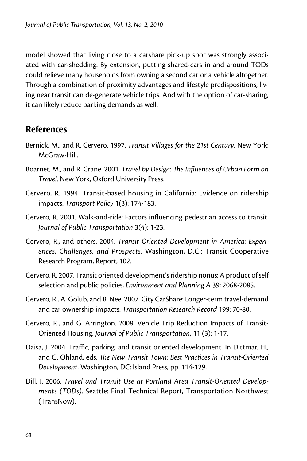model showed that living close to a carshare pick-up spot was strongly associated with car-shedding. By extension, putting shared-cars in and around TODs could relieve many households from owning a second car or a vehicle altogether. Through a combination of proximity advantages and lifestyle predispositions, living near transit can de-generate vehicle trips. And with the option of car-sharing, it can likely reduce parking demands as well.

# References

- Bernick, M., and R. Cervero. 1997. *Transit Villages for the 21st Century*. New York: McGraw-Hill.
- Boarnet, M., and R. Crane. 2001. *Travel by Design: The Influences of Urban Form on Travel*. New York, Oxford University Press.
- Cervero, R. 1994. Transit-based housing in California: Evidence on ridership impacts. *Transport Policy* 1(3): 174-183.
- Cervero, R. 2001. Walk-and-ride: Factors influencing pedestrian access to transit. *Journal of Public Transportation* 3(4): 1-23.
- Cervero, R., and others. 2004. *Transit Oriented Development in America: Experiences, Challenges, and Prospects*. Washington, D.C.: Transit Cooperative Research Program, Report, 102.
- Cervero, R. 2007. Transit oriented development's ridership nonus: A product of self selection and public policies. *Environment and Planning A* 39: 2068-2085.
- Cervero, R., A. Golub, and B. Nee. 2007. City CarShare: Longer-term travel-demand and car ownership impacts. *Transportation Research Record* 199: 70-80.
- Cervero, R., and G. Arrington. 2008. Vehicle Trip Reduction Impacts of Transit-Oriented Housing. *Journal of Public Transportation*, 11 (3): 1-17.
- Daisa, J. 2004. Traffic, parking, and transit oriented development. In Dittmar, H., and G. Ohland, eds. *The New Transit Town: Best Practices in Transit-Oriented Development*. Washington, DC: Island Press, pp. 114-129.
- Dill, J. 2006. *Travel and Transit Use at Portland Area Transit-Oriented Developments (TODs)*. Seattle: Final Technical Report, Transportation Northwest (TransNow).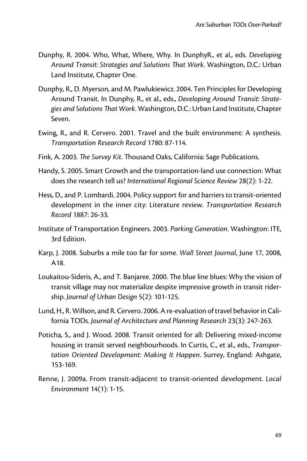- Dunphy, R. 2004. Who, What, Where, Why. In DunphyR., et al., eds. *Developing Around Transit: Strategies and Solutions That Work*. Washington, D.C.: Urban Land Institute, Chapter One.
- Dunphy, R., D. Myerson, and M. Pawlukiewicz. 2004. Ten Principles for Developing Around Transit. In Dunphy, R., et al., eds., *Developing Around Transit: Strategies and Solutions That Work*. Washington, D.C.: Urban Land Institute, Chapter Seven.
- Ewing, R., and R. Cervero. 2001. Travel and the built environment: A synthesis. *Transportation Research Record* 1780: 87-114.
- Fink, A. 2003. *The Survey Kit*. Thousand Oaks, California: Sage Publications.
- Handy, S. 2005. Smart Growth and the transportation-land use connection: What does the research tell us? *International Regional Science Review* 28(2): 1-22.
- Hess, D., and P. Lombardi. 2004. Policy support for and barriers to transit-oriented development in the inner city: Literature review. *Transportation Research Record* 1887: 26-33.
- Institute of Transportation Engineers. 2003. *Parking Generation*. Washington: ITE, 3rd Edition.
- Karp, J. 2008. Suburbs a mile too far for some. *Wall Street Journal*, June 17, 2008, A18.
- Loukaitou-Sideris, A., and T. Banjaree. 2000. The blue line blues: Why the vision of transit village may not materialize despite impressive growth in transit ridership. *Journal of Urban Design* 5(2): 101-125.
- Lund, H., R. Willson, and R. Cervero. 2006. A re-evaluation of travel behavior in California TODs. *Journal of Architecture and Planning Research* 23(3): 247-263.
- Poticha, S., and J. Wood. 2008. Transit oriented for all: Delivering mixed-income housing in transit served neighbourhoods. In Curtis, C., et al., eds., *Transportation Oriented Development: Making It Happen*. Surrey, England: Ashgate, 153-169.
- Renne, J. 2009a. From transit-adjacent to transit-oriented development. *Local Environment* 14(1): 1-15.